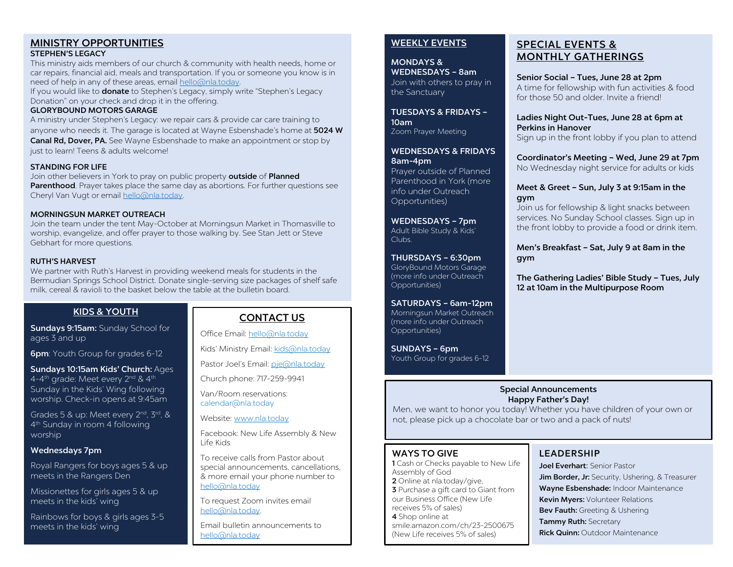#### MINISTRY OPPORTUNITIES STEPHEN'S LEGACY

This ministry aids members of our church & community with health needs, home or

car repairs, financial aid, meals and transportation. If you or someone you know is in need of help in any of these areas, email [hello@nla.today.](mailto:hello@nla.today) 

If you would like to **donate** to Stephen's Legacy, simply write "Stephen's Legacy Donation" on your check and drop it in the offering.

#### GLORYBOUND MOTORS GARAGE

A ministry under Stephen's Legacy: we repair cars & provide car care training to anyone who needs it. The garage is located at Wayne Esbenshade's home at 5024 W Canal Rd, Dover, PA. See Wayne Esbenshade to make an appointment or stop by just to learn! Teens & adults welcome!

#### STANDING FOR LIFE

Join other believers in York to pray on public property outside of Planned Parenthood. Prayer takes place the same day as abortions. For further questions see Cheryl Van Vugt or email [hello@nla.today.](mailto:hello@nla.today) 

#### MORNINGSUN MARKET OUTREACH

Join the team under the tent May-October at Morningsun Market in Thomasville to worship, evangelize, and offer prayer to those walking by. See Stan Jett or Steve Gebhart for more questions.

#### RUTH'S HARVEST

We partner with Ruth's Harvest in providing weekend meals for students in the Bermudian Springs School District. Donate single-serving size packages of shelf safe milk, cereal & ravioli to the basket below the table at the bulletin board.

## KIDS & YOUTH

Sundays 9:15am: Sunday School for ages 3 and up

**6pm**: Youth Group for grades 6-12

Sundays 10:15am Kids' Church: Ages 4-4<sup>th</sup> grade: Meet every 2<sup>nd</sup> & 4<sup>th</sup> Sunday in the Kids' Wing following worship. Check-in opens at 9:45am

Grades 5 & up: Meet every 2<sup>nd</sup>, 3<sup>rd</sup>, & 4th Sunday in room 4 following worship

#### Wednesdays 7pm

Royal Rangers for boys ages 5 & up meets in the Rangers Den

Missionettes for girls ages 5 & up meets in the kids' wing

Rainbows for boys & girls ages 3-5 meets in the kids' wing

# CONTACT US

Office Email[: hello@nla.today](mailto:hello@nla.today)

Kids' Ministry Email[: kids@nla.today](mailto:kids@nla.today)

Pastor Joel's Email: [pje@nla.today](mailto:pje@nla.today)

Church phone: 717-259-9941

Van/Room reservations: calendar@nla.today

Website: [www.nla.today](http://www.nla.today/)

Facebook: New Life Assembly & New Life Kids

To receive calls from Pastor about special announcements, cancellations, & more email your phone number to [hello@nla.today](mailto:hello@nla.today)

To request Zoom invites email [hello@nla.today.](mailto:hello@nla.today) 

Email bulletin announcements to [hello@nla.today](mailto:hello@nla.today)

### WEEKLY EVENTS

MONDAYS & WEDNESDAYS – 8am Join with others to pray in the Sanctuary

TUESDAYS & FRIDAYS – 10am Zoom Prayer Meeting

WEDNESDAYS & FRIDAYS 8am-4pm Prayer outside of Planned

Parenthood in York (more info under Outreach Opportunities)

WEDNESDAYS – 7pm Adult Bible Study & Kids' Clubs.

THURSDAYS – 6:30pm GloryBound Motors Garage (more info under Outreach Opportunities)

SATURDAYS – 6am-12pm Morningsun Market Outreach (more info under Outreach Opportunities)

SUNDAYS – 6pm Youth Group for grades 6-12

# SPECIAL EVENTS & MONTHLY GATHERINGS

Senior Social – Tues, June 28 at 2pm A time for fellowship with fun activities & food for those 50 and older. Invite a friend!

Ladies Night Out-Tues, June 28 at 6pm at Perkins in Hanover

Sign up in the front lobby if you plan to attend

## Coordinator's Meeting – Wed, June 29 at 7pm

No Wednesday night service for adults or kids

#### Meet & Greet – Sun, July 3 at 9:15am in the gym

Join us for fellowship & light snacks between services. No Sunday School classes. Sign up in the front lobby to provide a food or drink item.

Men's Breakfast – Sat, July 9 at 8am in the gym

The Gathering Ladies' Bible Study – Tues, July 12 at 10am in the Multipurpose Room

#### Special Announcements Happy Father's Day!

Men, we want to honor you today! Whether you have children of your own or not, please pick up a chocolate bar or two and a pack of nuts!

## WAYS TO GIVE

1 Cash or Checks payable to New Life Assembly of God 2 Online at nla.today/give, 3 Purchase a gift card to Giant from our Business Office (New Life receives 5% of sales) 4 Shop online at smile.amazon.com/ch/23-2500675 (New Life receives 5% of sales)

# LEADERSHIP

Joel Everhart: Senior Pastor Jim Border, Jr: Security, Ushering, & Treasurer Wayne Esbenshade: Indoor Maintenance Kevin Myers: Volunteer Relations Bev Fauth: Greeting & Ushering Tammy Ruth: Secretary **Rick Quinn: Outdoor Maintenance**